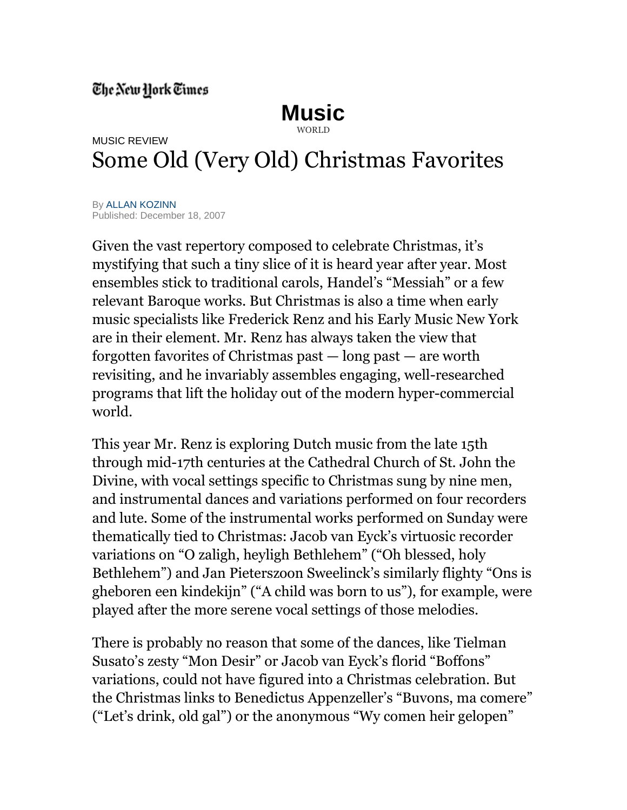## The New Hork Times

## **[Music](http://www.nytimes.com/pages/arts/music/index.html)** [WORLD](http://www.nytimes.com/pages/world/index.html)

## MUSIC REVIEW Some Old (Very Old) Christmas Favorites

B[y ALLAN KOZINN](http://topics.nytimes.com/top/reference/timestopics/people/k/allan_kozinn/index.html?inline=nyt-per) Published: December 18, 2007

Given the vast repertory composed to celebrate Christmas, it's mystifying that such a tiny slice of it is heard year after year. Most ensembles stick to traditional carols, Handel's "Messiah" or a few relevant Baroque works. But Christmas is also a time when early music specialists like Frederick Renz and his Early Music New York are in their element. Mr. Renz has always taken the view that forgotten favorites of Christmas past — long past — are worth revisiting, and he invariably assembles engaging, well-researched programs that lift the holiday out of the modern hyper-commercial world.

This year Mr. Renz is exploring Dutch music from the late 15th through mid-17th centuries at the Cathedral Church of St. John the Divine, with vocal settings specific to Christmas sung by nine men, and instrumental dances and variations performed on four recorders and lute. Some of the instrumental works performed on Sunday were thematically tied to Christmas: Jacob van Eyck's virtuosic recorder variations on "O zaligh, heyligh Bethlehem" ("Oh blessed, holy Bethlehem") and Jan Pieterszoon Sweelinck's similarly flighty "Ons is gheboren een kindekijn" ("A child was born to us"), for example, were played after the more serene vocal settings of those melodies.

There is probably no reason that some of the dances, like Tielman Susato's zesty "Mon Desir" or Jacob van Eyck's florid "Boffons" variations, could not have figured into a Christmas celebration. But the Christmas links to Benedictus Appenzeller's "Buvons, ma comere" ("Let's drink, old gal") or the anonymous "Wy comen heir gelopen"